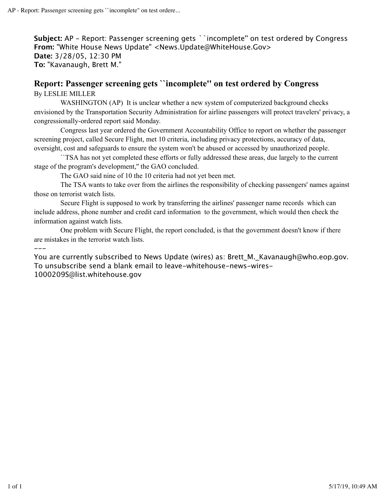**Subject:** AP - Report: Passenger screening gets ``incomplete'' on test ordered by Congress **From:** "White House News Update" <News.Update@WhiteHouse.Gov> **Date:** 3/28/05, 12:30 PM **To:** "Kavanaugh, Brett M."

## **Report: Passenger screening gets ``incomplete'' on test ordered by Congress** By LESLIE MILLER

WASHINGTON (AP) It is unclear whether a new system of computerized background checks envisioned by the Transportation Security Administration for airline passengers will protect travelers' privacy, a congressionally-ordered report said Monday.

Congress last year ordered the Government Accountability Office to report on whether the passenger screening project, called Secure Flight, met 10 criteria, including privacy protections, accuracy of data, oversight, cost and safeguards to ensure the system won't be abused or accessed by unauthorized people.

``TSA has not yet completed these efforts or fully addressed these areas, due largely to the current stage of the program's development,'' the GAO concluded.

The GAO said nine of 10 the 10 criteria had not yet been met.

The TSA wants to take over from the airlines the responsibility of checking passengers' names against those on terrorist watch lists.

Secure Flight is supposed to work by transferring the airlines' passenger name records which can include address, phone number and credit card information to the government, which would then check the information against watch lists.

One problem with Secure Flight, the report concluded, is that the government doesn't know if there are mistakes in the terrorist watch lists.

 $---$ 

You are currently subscribed to News Update (wires) as: Brett M. Kavanaugh@who.eop.gov. To unsubscribe send a blank email to leave-whitehouse-news-wires-1000209S@list.whitehouse.gov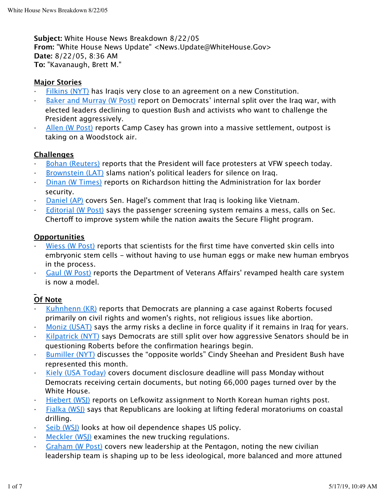**Subject:** White House News Breakdown 8/22/05 **From:** "White House News Update" <News.Update@WhiteHouse.Gov> **Date:** 8/22/05, 8:36 AM **To:** "Kavanaugh, Brett M."

#### **Major Stories**

- Filkins (NYT) has Iraqis very close to an agreement on a new Constitution.
- Baker and Murray (W Post) report on Democrats' internal split over the Iraq war, with elected leaders declining to question Bush and activists who want to challenge the President aggressively.
- Allen (W Post) reports Camp Casey has grown into a massive settlement, outpost is taking on a Woodstock air.

## **Challenges**

- Bohan (Reuters) reports that the President will face protesters at VFW speech today.
- Brownstein (LAT) slams nation's political leaders for silence on Iraq.
- · Dinan (W Times) reports on Richardson hitting the Administration for lax border security.
- Daniel (AP) covers Sen. Hagel's comment that Iraq is looking like Vietnam.
- · Editorial (W Post) says the passenger screening system remains a mess, calls on Sec. Chertof to improve system while the nation awaits the Secure Flight program.

### **Opportunities**

- · Wiess (W Post) reports that scientists for the first time have converted skin cells into embryonic stem cells - without having to use human eggs or make new human embryos in the process.
- Gaul (W Post) reports the Department of Veterans Affairs' revamped health care system is now a model.

## **Of Note**

- · Kuhnhenn (KR) reports that Democrats are planning a case against Roberts focused primarily on civil rights and women's rights, not religious issues like abortion.
- Moniz (USAT) says the army risks a decline in force quality if it remains in Iraq for years.
- · Kilpatrick (NYT) says Democrats are still split over how aggressive Senators should be in questioning Roberts before the confirmation hearings begin.
- **Bumiller (NYT)** discusses the "opposite worlds" Cindy Sheehan and President Bush have represented this month.
- Kiely (USA Today) covers document disclosure deadline will pass Monday without Democrats receiving certain documents, but noting 66,000 pages turned over by the White House.
- Hiebert (WSJ) reports on Lefkowitz assignment to North Korean human rights post.
- · Fialka (WSJ) says that Republicans are looking at lifting federal moratoriums on coastal drilling.
- Seib (WSJ) looks at how oil dependence shapes US policy.
- Meckler (WSJ) examines the new trucking regulations.
- Graham (W Post) covers new leadership at the Pentagon, noting the new civilian leadership team is shaping up to be less ideological, more balanced and more attuned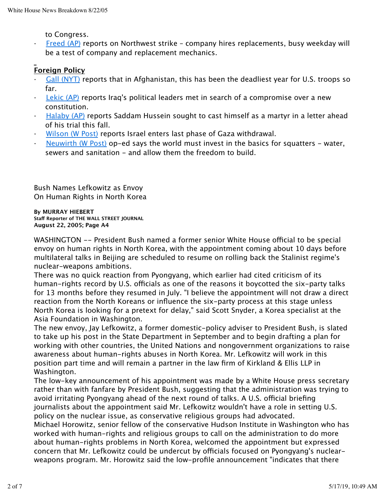to Congress.

• Freed (AP) reports on Northwest strike - company hires replacements, busy weekday will be a test of company and replacement mechanics.

# **Foreign Policy**

- Gall (NYT) reports that in Afghanistan, this has been the deadliest year for U.S. troops so far.
- Lekic  $AP$ ) reports Iraq's political leaders met in search of a compromise over a new constitution.
- · Halaby (AP) reports Saddam Hussein sought to cast himself as a martyr in a letter ahead of his trial this fall.
- Wilson (W Post) reports Israel enters last phase of Gaza withdrawal.
- · Neuwirth (W Post) op-ed says the world must invest in the basics for squatters water, sewers and sanitation – and allow them the freedom to build.

Bush Names Lefkowitz as Envoy On Human Rights in North Korea

**By MURRAY HIEBERT Staf Reporter of THE WALL STREET JOURNAL August 22, 2005; Page A4**

WASHINGTON -- President Bush named a former senior White House official to be special envoy on human rights in North Korea, with the appointment coming about 10 days before multilateral talks in Beijing are scheduled to resume on rolling back the Stalinist regime's nuclear-weapons ambitions.

There was no quick reaction from Pyongyang, which earlier had cited criticism of its human-rights record by U.S. officials as one of the reasons it boycotted the six-party talks for 13 months before they resumed in July. "I believe the appointment will not draw a direct reaction from the North Koreans or influence the six-party process at this stage unless North Korea is looking for a pretext for delay," said Scott Snyder, a Korea specialist at the Asia Foundation in Washington.

The new envoy, Jay Lefkowitz, a former domestic-policy adviser to President Bush, is slated to take up his post in the State Department in September and to begin drafting a plan for working with other countries, the United Nations and nongovernment organizations to raise awareness about human-rights abuses in North Korea. Mr. Lefkowitz will work in this position part time and will remain a partner in the law firm of Kirkland & Ellis LLP in Washington.

The low-key announcement of his appointment was made by a White House press secretary rather than with fanfare by President Bush, suggesting that the administration was trying to avoid irritating Pyongyang ahead of the next round of talks. A U.S. official briefing journalists about the appointment said Mr. Lefkowitz wouldn't have a role in setting U.S. policy on the nuclear issue, as conservative religious groups had advocated.

Michael Horowitz, senior fellow of the conservative Hudson Institute in Washington who has worked with human-rights and religious groups to call on the administration to do more about human-rights problems in North Korea, welcomed the appointment but expressed concern that Mr. Lefkowitz could be undercut by officials focused on Pyongyang's nuclearweapons program. Mr. Horowitz said the low-profile announcement "indicates that there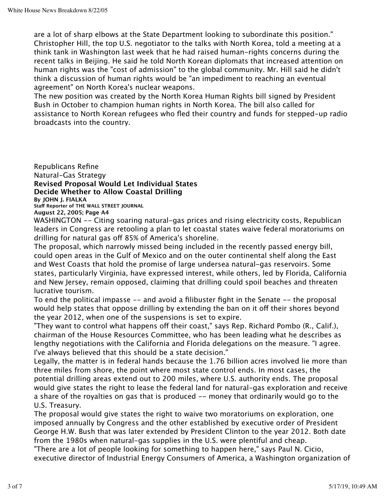are a lot of sharp elbows at the State Department looking to subordinate this position." Christopher Hill, the top U.S. negotiator to the talks with North Korea, told a meeting at a think tank in Washington last week that he had raised human-rights concerns during the recent talks in Beijing. He said he told North Korean diplomats that increased attention on human rights was the "cost of admission" to the global community. Mr. Hill said he didn't think a discussion of human rights would be "an impediment to reaching an eventual agreement" on North Korea's nuclear weapons.

The new position was created by the North Korea Human Rights bill signed by President Bush in October to champion human rights in North Korea. The bill also called for assistance to North Korean refugees who fled their country and funds for stepped-up radio broadcasts into the country.

Republicans Refine Natural-Gas Strategy **Revised Proposal Would Let Individual States Decide Whether to Allow Coastal Drilling By JOHN J. FIALKA Staf Reporter of THE WALL STREET JOURNAL**

**August 22, 2005; Page A4**

WASHINGTON -- Citing soaring natural-gas prices and rising electricity costs, Republican leaders in Congress are retooling a plan to let coastal states waive federal moratoriums on drilling for natural gas of 85% of America's shoreline.

The proposal, which narrowly missed being included in the recently passed energy bill, could open areas in the Gulf of Mexico and on the outer continental shelf along the East and West Coasts that hold the promise of large undersea natural-gas reservoirs. Some states, particularly Virginia, have expressed interest, while others, led by Florida, California and New Jersey, remain opposed, claiming that drilling could spoil beaches and threaten lucrative tourism.

To end the political impasse -- and avoid a filibuster fight in the Senate -- the proposal would help states that oppose drilling by extending the ban on it off their shores beyond the year 2012, when one of the suspensions is set to expire.

"They want to control what happens off their coast," says Rep. Richard Pombo (R., Calif.), chairman of the House Resources Committee, who has been leading what he describes as lengthy negotiations with the California and Florida delegations on the measure. "I agree. I've always believed that this should be a state decision."

Legally, the matter is in federal hands because the 1.76 billion acres involved lie more than three miles from shore, the point where most state control ends. In most cases, the potential drilling areas extend out to 200 miles, where U.S. authority ends. The proposal would give states the right to lease the federal land for natural-gas exploration and receive a share of the royalties on gas that is produced -- money that ordinarily would go to the U.S. Treasury.

The proposal would give states the right to waive two moratoriums on exploration, one imposed annually by Congress and the other established by executive order of President George H.W. Bush that was later extended by President Clinton to the year 2012. Both date from the 1980s when natural-gas supplies in the U.S. were plentiful and cheap.

"There are a lot of people looking for something to happen here," says Paul N. Cicio, executive director of Industrial Energy Consumers of America, a Washington organization of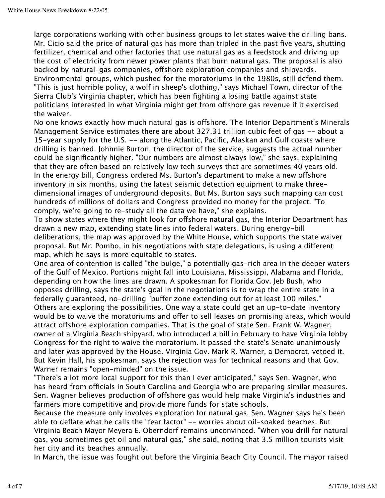large corporations working with other business groups to let states waive the drilling bans. Mr. Cicio said the price of natural gas has more than tripled in the past five years, shutting fertilizer, chemical and other factories that use natural gas as a feedstock and driving up the cost of electricity from newer power plants that burn natural gas. The proposal is also backed by natural-gas companies, ofshore exploration companies and shipyards. Environmental groups, which pushed for the moratoriums in the 1980s, still defend them. "This is just horrible policy, a wolf in sheep's clothing," says Michael Town, director of the Sierra Club's Virginia chapter, which has been fighting a losing battle against state politicians interested in what Virginia might get from ofshore gas revenue if it exercised the waiver.

No one knows exactly how much natural gas is ofshore. The Interior Department's Minerals Management Service estimates there are about 327.31 trillion cubic feet of gas -- about a 15-year supply for the U.S. -- along the Atlantic, Pacific, Alaskan and Gulf coasts where drilling is banned. Johnnie Burton, the director of the service, suggests the actual number could be significantly higher. "Our numbers are almost always low," she says, explaining that they are often based on relatively low tech surveys that are sometimes 40 years old. In the energy bill, Congress ordered Ms. Burton's department to make a new ofshore inventory in six months, using the latest seismic detection equipment to make threedimensional images of underground deposits. But Ms. Burton says such mapping can cost hundreds of millions of dollars and Congress provided no money for the project. "To comply, we're going to re-study all the data we have," she explains.

To show states where they might look for ofshore natural gas, the Interior Department has drawn a new map, extending state lines into federal waters. During energy-bill deliberations, the map was approved by the White House, which supports the state waiver proposal. But Mr. Pombo, in his negotiations with state delegations, is using a diferent map, which he says is more equitable to states.

One area of contention is called "the bulge," a potentially gas-rich area in the deeper waters of the Gulf of Mexico. Portions might fall into Louisiana, Mississippi, Alabama and Florida, depending on how the lines are drawn. A spokesman for Florida Gov. Jeb Bush, who opposes drilling, says the state's goal in the negotiations is to wrap the entire state in a federally guaranteed, no-drilling "buffer zone extending out for at least 100 miles." Others are exploring the possibilities. One way a state could get an up-to-date inventory would be to waive the moratoriums and offer to sell leases on promising areas, which would attract offshore exploration companies. That is the goal of state Sen. Frank W. Wagner, owner of a Virginia Beach shipyard, who introduced a bill in February to have Virginia lobby Congress for the right to waive the moratorium. It passed the state's Senate unanimously and later was approved by the House. Virginia Gov. Mark R. Warner, a Democrat, vetoed it. But Kevin Hall, his spokesman, says the rejection was for technical reasons and that Gov. Warner remains "open-minded" on the issue.

"There's a lot more local support for this than I ever anticipated," says Sen. Wagner, who has heard from officials in South Carolina and Georgia who are preparing similar measures. Sen. Wagner believes production of ofshore gas would help make Virginia's industries and farmers more competitive and provide more funds for state schools.

Because the measure only involves exploration for natural gas, Sen. Wagner says he's been able to deflate what he calls the "fear factor" -- worries about oil-soaked beaches. But Virginia Beach Mayor Meyera E. Oberndorf remains unconvinced. "When you drill for natural gas, you sometimes get oil and natural gas," she said, noting that 3.5 million tourists visit her city and its beaches annually.

In March, the issue was fought out before the Virginia Beach City Council. The mayor raised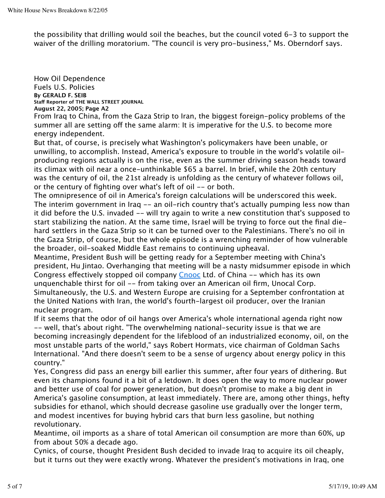the possibility that drilling would soil the beaches, but the council voted 6-3 to support the waiver of the drilling moratorium. "The council is very pro-business," Ms. Oberndorf says.

How Oil Dependence Fuels U.S. Policies **By GERALD F. SEIB Staf Reporter of THE WALL STREET JOURNAL August 22, 2005; Page A2**

From Iraq to China, from the Gaza Strip to Iran, the biggest foreign-policy problems of the summer all are setting off the same alarm: It is imperative for the U.S. to become more energy independent.

But that, of course, is precisely what Washington's policymakers have been unable, or unwilling, to accomplish. Instead, America's exposure to trouble in the world's volatile oilproducing regions actually is on the rise, even as the summer driving season heads toward its climax with oil near a once-unthinkable \$65 a barrel. In brief, while the 20th century was the century of oil, the 21st already is unfolding as the century of whatever follows oil, or the century of fighting over what's left of oil -- or both.

The omnipresence of oil in America's foreign calculations will be underscored this week. The interim government in Iraq -- an oil-rich country that's actually pumping less now than it did before the U.S. invaded -- will try again to write a new constitution that's supposed to start stabilizing the nation. At the same time, Israel will be trying to force out the final diehard settlers in the Gaza Strip so it can be turned over to the Palestinians. There's no oil in the Gaza Strip, of course, but the whole episode is a wrenching reminder of how vulnerable the broader, oil-soaked Middle East remains to continuing upheaval.

Meantime, President Bush will be getting ready for a September meeting with China's president, Hu Jintao. Overhanging that meeting will be a nasty midsummer episode in which Congress effectively stopped oil company Cnooc Ltd. of China -- which has its own unquenchable thirst for oil -- from taking over an American oil firm, Unocal Corp. Simultaneously, the U.S. and Western Europe are cruising for a September confrontation at the United Nations with Iran, the world's fourth-largest oil producer, over the Iranian nuclear program.

If it seems that the odor of oil hangs over America's whole international agenda right now -- well, that's about right. "The overwhelming national-security issue is that we are becoming increasingly dependent for the lifeblood of an industrialized economy, oil, on the most unstable parts of the world," says Robert Hormats, vice chairman of Goldman Sachs International. "And there doesn't seem to be a sense of urgency about energy policy in this country."

Yes, Congress did pass an energy bill earlier this summer, after four years of dithering. But even its champions found it a bit of a letdown. It does open the way to more nuclear power and better use of coal for power generation, but doesn't promise to make a big dent in America's gasoline consumption, at least immediately. There are, among other things, hefty subsidies for ethanol, which should decrease gasoline use gradually over the longer term, and modest incentives for buying hybrid cars that burn less gasoline, but nothing revolutionary.

Meantime, oil imports as a share of total American oil consumption are more than 60%, up from about 50% a decade ago.

Cynics, of course, thought President Bush decided to invade Iraq to acquire its oil cheaply, but it turns out they were exactly wrong. Whatever the president's motivations in Iraq, one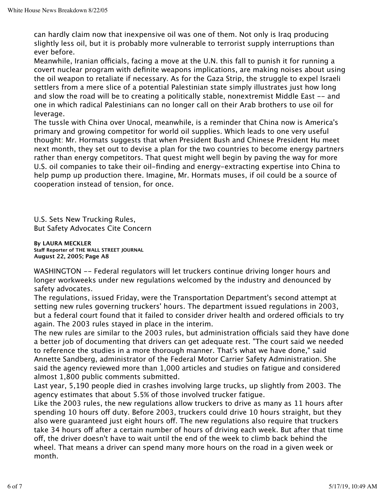can hardly claim now that inexpensive oil was one of them. Not only is Iraq producing slightly less oil, but it is probably more vulnerable to terrorist supply interruptions than ever before.

Meanwhile, Iranian officials, facing a move at the U.N. this fall to punish it for running a covert nuclear program with definite weapons implications, are making noises about using the oil weapon to retaliate if necessary. As for the Gaza Strip, the struggle to expel Israeli settlers from a mere slice of a potential Palestinian state simply illustrates just how long and slow the road will be to creating a politically stable, nonextremist Middle East -- and one in which radical Palestinians can no longer call on their Arab brothers to use oil for leverage.

The tussle with China over Unocal, meanwhile, is a reminder that China now is America's primary and growing competitor for world oil supplies. Which leads to one very useful thought: Mr. Hormats suggests that when President Bush and Chinese President Hu meet next month, they set out to devise a plan for the two countries to become energy partners rather than energy competitors. That quest might well begin by paving the way for more U.S. oil companies to take their oil-finding and energy-extracting expertise into China to help pump up production there. Imagine, Mr. Hormats muses, if oil could be a source of cooperation instead of tension, for once.

U.S. Sets New Trucking Rules, But Safety Advocates Cite Concern

**By LAURA MECKLER Staf Reporter of THE WALL STREET JOURNAL August 22, 2005; Page A8**

WASHINGTON -- Federal regulators will let truckers continue driving longer hours and longer workweeks under new regulations welcomed by the industry and denounced by safety advocates.

The regulations, issued Friday, were the Transportation Department's second attempt at setting new rules governing truckers' hours. The department issued regulations in 2003, but a federal court found that it failed to consider driver health and ordered officials to try again. The 2003 rules stayed in place in the interim.

The new rules are similar to the 2003 rules, but administration officials said they have done a better job of documenting that drivers can get adequate rest. "The court said we needed to reference the studies in a more thorough manner. That's what we have done," said Annette Sandberg, administrator of the Federal Motor Carrier Safety Administration. She said the agency reviewed more than 1,000 articles and studies on fatigue and considered almost 1,800 public comments submitted.

Last year, 5,190 people died in crashes involving large trucks, up slightly from 2003. The agency estimates that about 5.5% of those involved trucker fatigue.

Like the 2003 rules, the new regulations allow truckers to drive as many as 11 hours after spending 10 hours off duty. Before 2003, truckers could drive 10 hours straight, but they also were quaranteed just eight hours off. The new regulations also require that truckers take 34 hours off after a certain number of hours of driving each week. But after that time of, the driver doesn't have to wait until the end of the week to climb back behind the wheel. That means a driver can spend many more hours on the road in a given week or month.